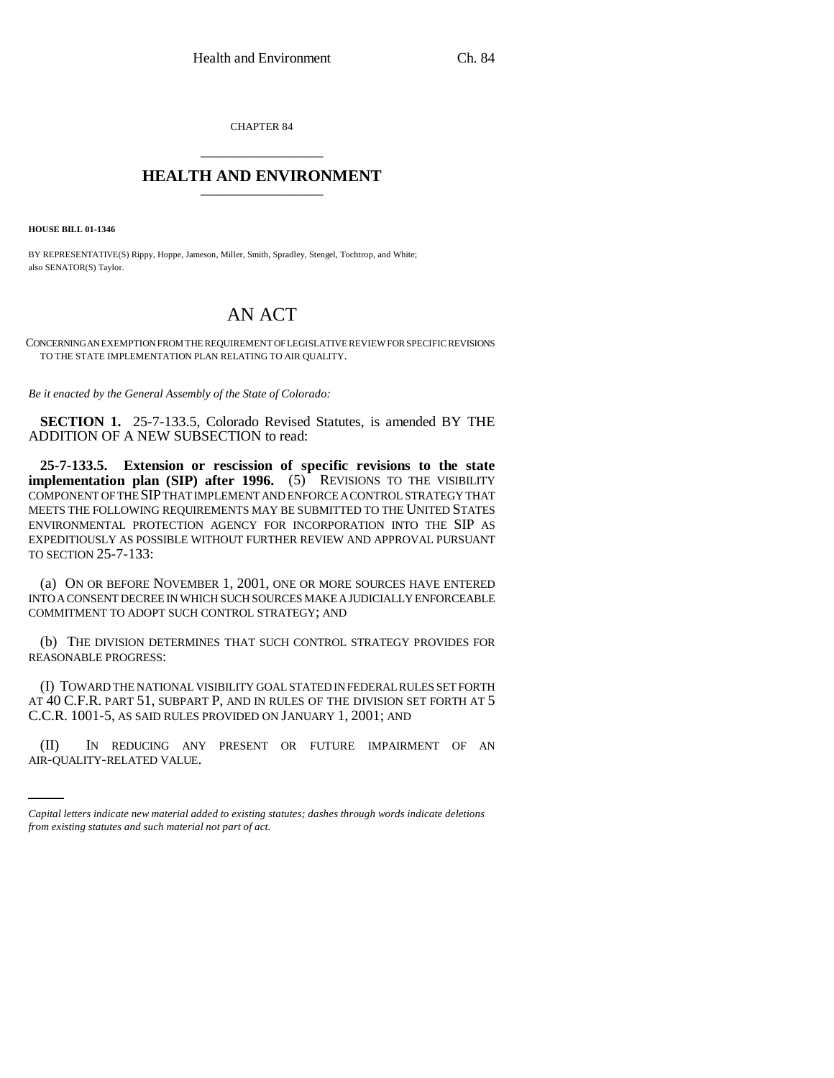CHAPTER 84 \_\_\_\_\_\_\_\_\_\_\_\_\_\_\_

## **HEALTH AND ENVIRONMENT** \_\_\_\_\_\_\_\_\_\_\_\_\_\_\_

**HOUSE BILL 01-1346**

BY REPRESENTATIVE(S) Rippy, Hoppe, Jameson, Miller, Smith, Spradley, Stengel, Tochtrop, and White; also SENATOR(S) Taylor.

## AN ACT

CONCERNING AN EXEMPTION FROM THE REQUIREMENT OF LEGISLATIVE REVIEW FOR SPECIFIC REVISIONS TO THE STATE IMPLEMENTATION PLAN RELATING TO AIR QUALITY.

*Be it enacted by the General Assembly of the State of Colorado:*

**SECTION 1.** 25-7-133.5, Colorado Revised Statutes, is amended BY THE ADDITION OF A NEW SUBSECTION to read:

**25-7-133.5. Extension or rescission of specific revisions to the state implementation plan (SIP) after 1996.** (5) REVISIONS TO THE VISIBILITY COMPONENT OF THE SIP THAT IMPLEMENT AND ENFORCE A CONTROL STRATEGY THAT MEETS THE FOLLOWING REQUIREMENTS MAY BE SUBMITTED TO THE UNITED STATES ENVIRONMENTAL PROTECTION AGENCY FOR INCORPORATION INTO THE SIP AS EXPEDITIOUSLY AS POSSIBLE WITHOUT FURTHER REVIEW AND APPROVAL PURSUANT TO SECTION 25-7-133:

(a) ON OR BEFORE NOVEMBER 1, 2001, ONE OR MORE SOURCES HAVE ENTERED INTO A CONSENT DECREE IN WHICH SUCH SOURCES MAKE A JUDICIALLY ENFORCEABLE COMMITMENT TO ADOPT SUCH CONTROL STRATEGY; AND

(b) THE DIVISION DETERMINES THAT SUCH CONTROL STRATEGY PROVIDES FOR REASONABLE PROGRESS:

(I) TOWARD THE NATIONAL VISIBILITY GOAL STATED IN FEDERAL RULES SET FORTH AT 40 C.F.R. PART 51, SUBPART P, AND IN RULES OF THE DIVISION SET FORTH AT 5 C.C.R. 1001-5, AS SAID RULES PROVIDED ON JANUARY 1, 2001; AND

(II) IN REDUCING ANY PRESENT OR FUTURE IMPAIRMENT OF AN AIR-QUALITY-RELATED VALUE.

*Capital letters indicate new material added to existing statutes; dashes through words indicate deletions from existing statutes and such material not part of act.*